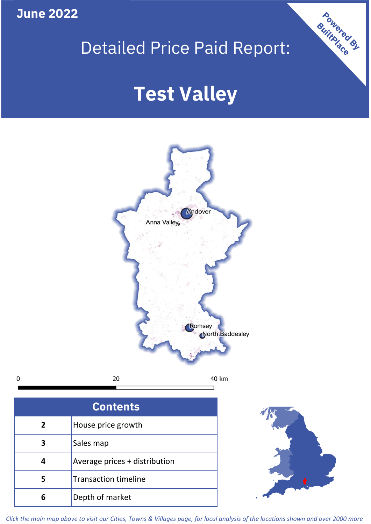**June 2022**

**5**

**4**

**3**

Sales map

**6** Depth of market

Average prices + distribution

Transaction timeline

## Detailed Price Paid Report:

Powered By

# **Test Valley**



*Click the main map above to visit our Cities, Towns & Villages page, for local analysis of the locations shown and over 2000 more*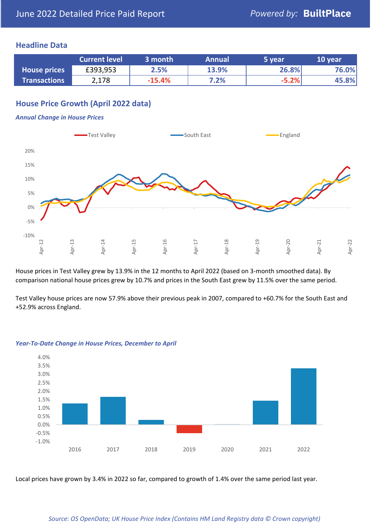#### **Headline Data**

|                     | <b>Current level</b> | 3 month  | <b>Annual</b> | 5 year  | 10 year |
|---------------------|----------------------|----------|---------------|---------|---------|
| <b>House prices</b> | £393,953             | 2.5%     | 13.9%         | 26.8%   | 76.0%   |
| <b>Transactions</b> | 2,178                | $-15.4%$ | 7.2%          | $-5.2%$ | 45.8%   |

#### **House Price Growth (April 2022 data)**

#### *Annual Change in House Prices*



House prices in Test Valley grew by 13.9% in the 12 months to April 2022 (based on 3-month smoothed data). By comparison national house prices grew by 10.7% and prices in the South East grew by 11.5% over the same period.

Test Valley house prices are now 57.9% above their previous peak in 2007, compared to +60.7% for the South East and +52.9% across England.



#### *Year-To-Date Change in House Prices, December to April*

Local prices have grown by 3.4% in 2022 so far, compared to growth of 1.4% over the same period last year.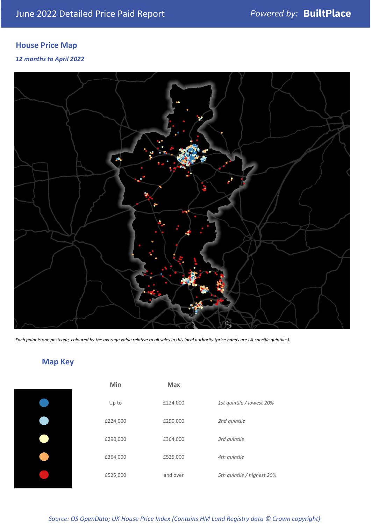### **House Price Map**

#### *12 months to April 2022*



*Each point is one postcode, coloured by the average value relative to all sales in this local authority (price bands are LA-specific quintiles).*

### **Map Key**

| Min      | <b>Max</b> |                            |
|----------|------------|----------------------------|
| Up to    | £224,000   | 1st quintile / lowest 20%  |
| £224,000 | £290,000   | 2nd quintile               |
| £290,000 | £364,000   | 3rd quintile               |
| £364,000 | £525,000   | 4th quintile               |
| £525,000 | and over   | 5th quintile / highest 20% |

*Source: OS OpenData; UK House Price Index (Contains HM Land Registry data © Crown copyright)*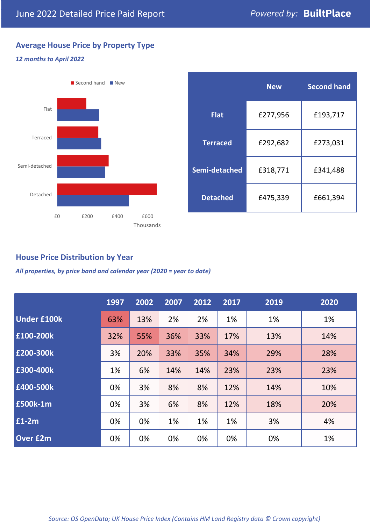#### **Average House Price by Property Type**

#### *12 months to April 2022*



|                 | <b>New</b> | <b>Second hand</b> |  |  |
|-----------------|------------|--------------------|--|--|
| <b>Flat</b>     | £277,956   | £193,717           |  |  |
| <b>Terraced</b> | £292,682   | £273,031           |  |  |
| Semi-detached   | £318,771   | £341,488           |  |  |
| <b>Detached</b> | £475,339   | £661,394           |  |  |

#### **House Price Distribution by Year**

*All properties, by price band and calendar year (2020 = year to date)*

|                    | 1997 | 2002 | 2007 | 2012 | 2017 | 2019 | 2020 |
|--------------------|------|------|------|------|------|------|------|
| <b>Under £100k</b> | 63%  | 13%  | 2%   | 2%   | 1%   | 1%   | 1%   |
| £100-200k          | 32%  | 55%  | 36%  | 33%  | 17%  | 13%  | 14%  |
| E200-300k          | 3%   | 20%  | 33%  | 35%  | 34%  | 29%  | 28%  |
| £300-400k          | 1%   | 6%   | 14%  | 14%  | 23%  | 23%  | 23%  |
| £400-500k          | 0%   | 3%   | 8%   | 8%   | 12%  | 14%  | 10%  |
| <b>£500k-1m</b>    | 0%   | 3%   | 6%   | 8%   | 12%  | 18%  | 20%  |
| £1-2m              | 0%   | 0%   | 1%   | 1%   | 1%   | 3%   | 4%   |
| <b>Over £2m</b>    | 0%   | 0%   | 0%   | 0%   | 0%   | 0%   | 1%   |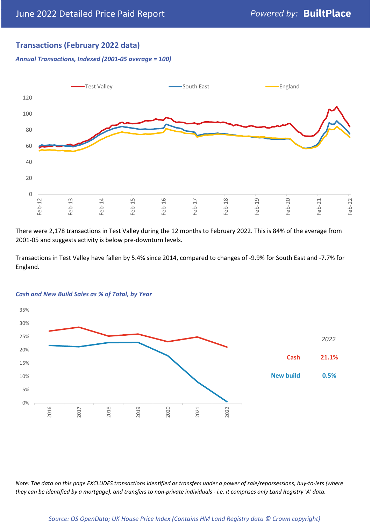#### **Transactions (February 2022 data)**

*Annual Transactions, Indexed (2001-05 average = 100)*



There were 2,178 transactions in Test Valley during the 12 months to February 2022. This is 84% of the average from 2001-05 and suggests activity is below pre-downturn levels.

Transactions in Test Valley have fallen by 5.4% since 2014, compared to changes of -9.9% for South East and -7.7% for England.



#### *Cash and New Build Sales as % of Total, by Year*

*Note: The data on this page EXCLUDES transactions identified as transfers under a power of sale/repossessions, buy-to-lets (where they can be identified by a mortgage), and transfers to non-private individuals - i.e. it comprises only Land Registry 'A' data.*